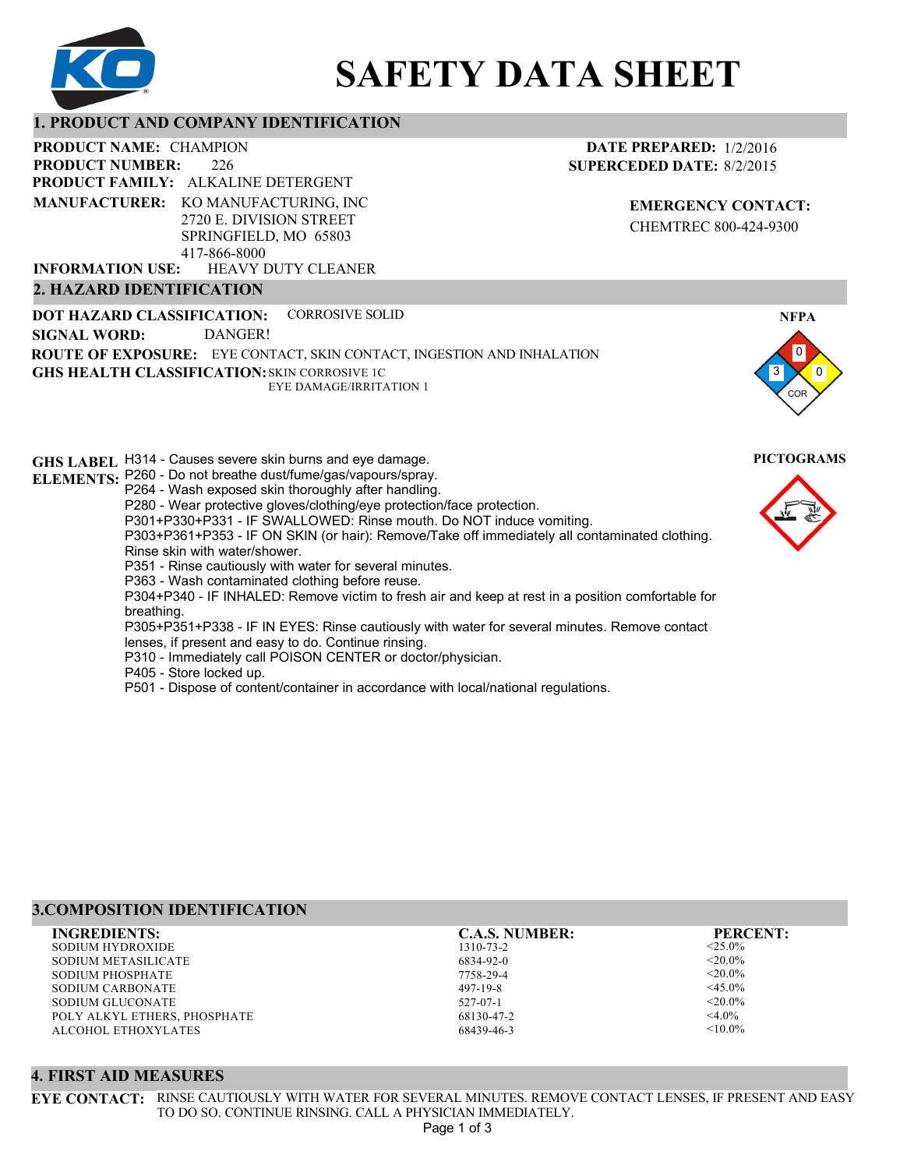

# **SAFETY DATA SHEET**

#### **1. PRODUCT AND COMPANY IDENTIFICATION**

226 PRODUCT NAME: CHAMPION **PRODUCT FAMILY: ALKALINE DETERGENT** HEAVY DUTY CLEANER **PRODUCT NUMBER: MANUFACTURER:** KO MANUFACTURING, INC 2720 E. DIVISION STREET SPRINGFIELD, MO 65803 417-866-8000 **INFORMATION USE:**

#### **2. HAZARD IDENTIFICATION**

**DOT HAZARD CLASSIFICATION: GHS HEALTH CLASSIFICATION:** SKIN CORROSIVE 1C **ROUTE OF EXPOSURE:** EYE CONTACT, SKIN CONTACT, INGESTION AND INHALATION CORROSIVE SOLID EYE DAMAGE/IRRITATION 1 **SIGNAL WORD:** DANGER!

**GHS LABEL**  H314 - Causes severe skin burns and eye damage. **PICTOGRAMS ELEMENTS:** P260 - Do not breathe dust/fume/gas/vapours/spray. P264 - Wash exposed skin thoroughly after handling. P280 - Wear protective gloves/clothing/eye protection/face protection. P301+P330+P331 - IF SWALLOWED: Rinse mouth. Do NOT induce vomiting. P303+P361+P353 - IF ON SKIN (or hair): Remove/Take off immediately all contaminated clothing. Rinse skin with water/shower. P351 - Rinse cautiously with water for several minutes. P363 - Wash contaminated clothing before reuse. P304+P340 - IF INHALED: Remove victim to fresh air and keep at rest in a position comfortable for breathing. P305+P351+P338 - IF IN EYES: Rinse cautiously with water for several minutes. Remove contact lenses, if present and easy to do. Continue rinsing. P310 - Immediately call POISON CENTER or doctor/physician. P405 - Store locked up. P501 - Dispose of content/container in accordance with local/national regulations.

#### **3.COMPOSITION IDENTIFICATION**

SODIUM HYDROXIDE SODIUM METASILICATE SODIUM PHOSPHATE SODIUM CARBONATE SODIUM GLUCONATE POLY ALKYL ETHERS, PHOSPHATE ALCOHOL ETHOXYLATES **INGREDIENTS: C.A.S. NUMBER: PERCENT:**

1310-73-2 6834-92-0 7758-29-4 497-19-8 527-07-1

68130-47-2 68439-46-3

<25.0%  $< 20.0\%$  $<$ 20.0%  $<$ 45.0%  $<$ 20.0%  $<$ 4.0%  $< 10.0\%$ 

#### **4. FIRST AID MEASURES**

**EYE CONTACT:** RINSE CAUTIOUSLY WITH WATER FOR SEVERAL MINUTES. REMOVE CONTACT LENSES, IF PRESENT AND EASY TO DO SO. CONTINUE RINSING. CALL A PHYSICIAN IMMEDIATELY. Page 1 of 3



**NFPA**

**EMERGENCY CONTACT:** CHEMTREC 800-424-9300

**DATE PREPARED:** 1/2/2016 **SUPERCEDED DATE:** 8/2/2015

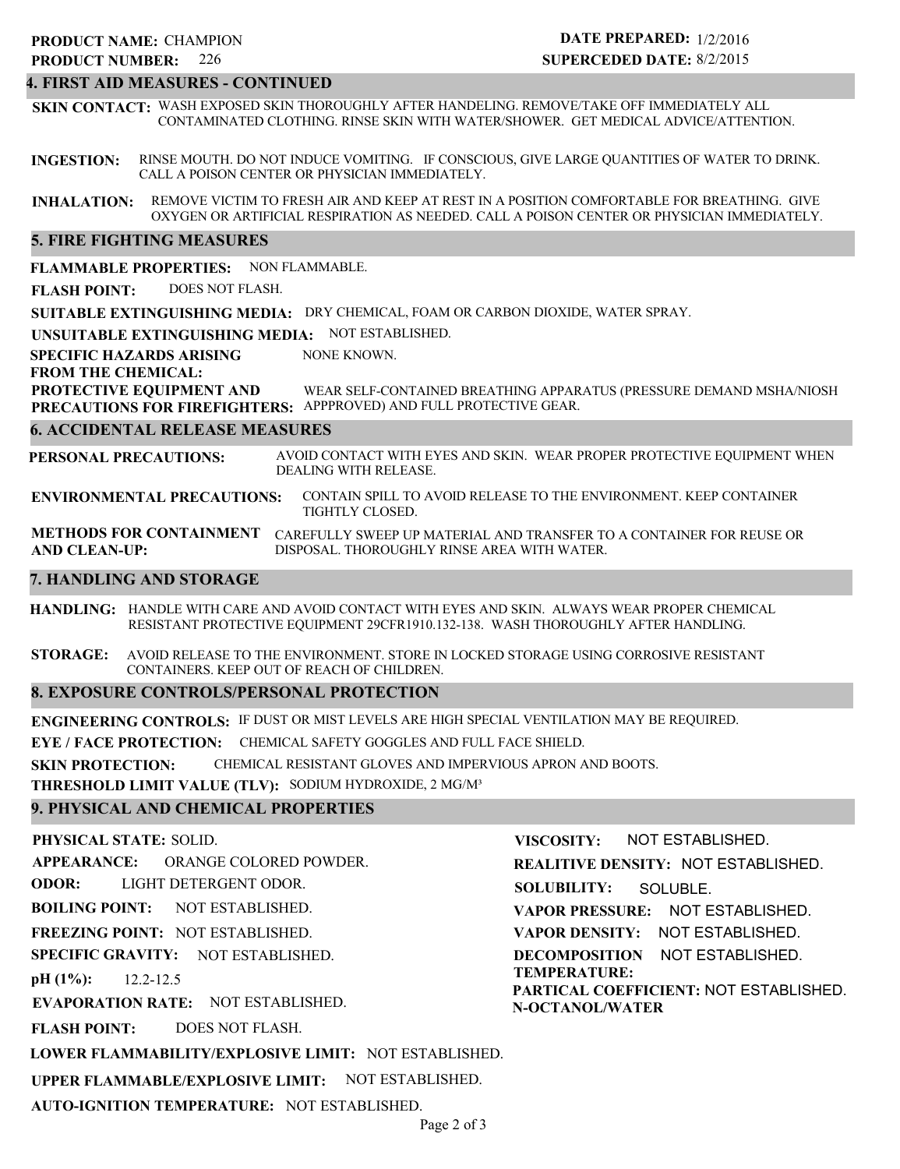#### 226 **PRODUCT NUMBER: PRODUCT NAME: CHAMPION**

#### **DATE PREPARED:** 1/2/2016 **SUPERCEDED DATE:** 8/2/2015

## **4. FIRST AID MEASURES - CONTINUED**

**SKIN CONTACT:** WASH EXPOSED SKIN THOROUGHLY AFTER HANDELING. REMOVE/TAKE OFF IMMEDIATELY ALL CONTAMINATED CLOTHING. RINSE SKIN WITH WATER/SHOWER. GET MEDICAL ADVICE/ATTENTION.

**INGESTION:** RINSE MOUTH. DO NOT INDUCE VOMITING. IF CONSCIOUS, GIVE LARGE QUANTITIES OF WATER TO DRINK. CALL A POISON CENTER OR PHYSICIAN IMMEDIATELY.

**INHALATION:** REMOVE VICTIM TO FRESH AIR AND KEEP AT REST IN A POSITION COMFORTABLE FOR BREATHING. GIVE OXYGEN OR ARTIFICIAL RESPIRATION AS NEEDED. CALL A POISON CENTER OR PHYSICIAN IMMEDIATELY.

## **5. FIRE FIGHTING MEASURES**

**FLAMMABLE PROPERTIES:** NON FLAMMABLE.

**FLASH POINT:** DOES NOT FLASH.

**SUITABLE EXTINGUISHING MEDIA:** DRY CHEMICAL, FOAM OR CARBON DIOXIDE, WATER SPRAY.

**UNSUITABLE EXTINGUISHING MEDIA:** NOT ESTABLISHED.

**SPECIFIC HAZARDS ARISING** NONE KNOWN.

**FROM THE CHEMICAL:**

**PROTECTIVE EQUIPMENT AND PRECAUTIONS FOR FIREFIGHTERS:** APPPROVED) AND FULL PROTECTIVE GEAR. WEAR SELF-CONTAINED BREATHING APPARATUS (PRESSURE DEMAND MSHA/NIOSH

#### **6. ACCIDENTAL RELEASE MEASURES**

**PERSONAL PRECAUTIONS:** AVOID CONTACT WITH EYES AND SKIN. WEAR PROPER PROTECTIVE EQUIPMENT WHEN DEALING WITH RELEASE.

**ENVIRONMENTAL PRECAUTIONS:** CONTAIN SPILL TO AVOID RELEASE TO THE ENVIRONMENT. KEEP CONTAINER TIGHTLY CLOSED.

**METHODS FOR CONTAINMENT** CAREFULLY SWEEP UP MATERIAL AND TRANSFER TO A CONTAINER FOR REUSE OR **AND CLEAN-UP:** DISPOSAL. THOROUGHLY RINSE AREA WITH WATER.

#### **7. HANDLING AND STORAGE**

**HANDLING:** HANDLE WITH CARE AND AVOID CONTACT WITH EYES AND SKIN. ALWAYS WEAR PROPER CHEMICAL RESISTANT PROTECTIVE EQUIPMENT 29CFR1910.132-138. WASH THOROUGHLY AFTER HANDLING.

**STORAGE:** AVOID RELEASE TO THE ENVIRONMENT. STORE IN LOCKED STORAGE USING CORROSIVE RESISTANT CONTAINERS. KEEP OUT OF REACH OF CHILDREN.

#### **8. EXPOSURE CONTROLS/PERSONAL PROTECTION**

**ENGINEERING CONTROLS:** IF DUST OR MIST LEVELS ARE HIGH SPECIAL VENTILATION MAY BE REQUIRED.

**EYE / FACE PROTECTION:** CHEMICAL SAFETY GOGGLES AND FULL FACE SHIELD.

**SKIN PROTECTION:** CHEMICAL RESISTANT GLOVES AND IMPERVIOUS APRON AND BOOTS.

**THRESHOLD LIMIT VALUE (TLV):** SODIUM HYDROXIDE, 2 MG/M³

#### **9. PHYSICAL AND CHEMICAL PROPERTIES**

#### **PHYSICAL STATE:** SOLID. **APPEARANCE: ODOR: BOILING POINT: FREEZING POINT:** NOT ESTABLISHED. **SPECIFIC GRAVITY:** NOT ESTABLISHED. **pH (1%): EVAPORATION RATE:** NOT ESTABLISHED. **FLASH POINT:** NOT ESTABLISHED. 12.2-12.5 DOES NOT FLASH. ORANGE COLORED POWDER. LIGHT DETERGENT ODOR. **VISCOSITY: REALITIVE DENSITY:** NOT ESTABLISHED. **SOLUBILITY: VAPOR PRESSURE:** NOT ESTABLISHED. **VAPOR DENSITY:** NOT ESTABLISHED. **DECOMPOSITION** NOT ESTABLISHED. **TEMPERATURE: PARTICAL COEFFICIENT:** NOT ESTABLISHED. **N-OCTANOL/WATER** NOT ESTABLISHED. SOLUBLE.

**LOWER FLAMMABILITY/EXPLOSIVE LIMIT:** NOT ESTABLISHED.

**UPPER FLAMMABLE/EXPLOSIVE LIMIT:** NOT ESTABLISHED.

**AUTO-IGNITION TEMPERATURE:** NOT ESTABLISHED.